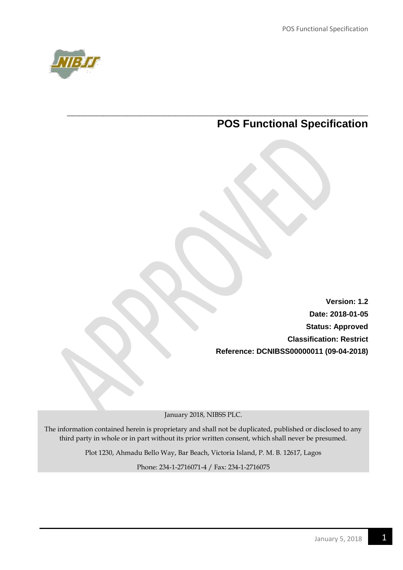

# **POS Functional Specification**

**Version: 1.2 Date: 2018-01-05 Status: Approved Classification: Restrict Reference: DCNIBSS00000011 (09-04-2018)**

January 2018, NIBSS PLC.

**\_\_\_\_\_\_\_\_\_\_\_\_\_\_\_\_\_\_\_\_\_\_\_\_\_\_\_\_\_\_\_\_\_\_\_\_\_\_\_\_\_\_\_\_\_\_\_\_\_\_**

The information contained herein is proprietary and shall not be duplicated, published or disclosed to any third party in whole or in part without its prior written consent, which shall never be presumed.

Plot 1230, Ahmadu Bello Way, Bar Beach, Victoria Island, P. M. B. 12617, Lagos

Phone: 234-1-2716071-4 / Fax: 234-1-2716075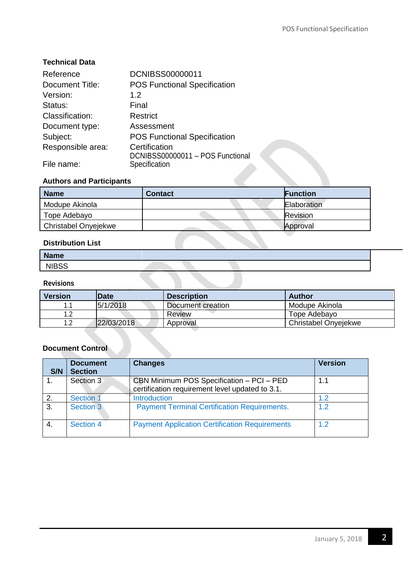#### **Technical Data**

| Reference         | DCNIBSS00000011                                   |
|-------------------|---------------------------------------------------|
| Document Title:   | <b>POS Functional Specification</b>               |
| Version:          | 1.2                                               |
| Status:           | Final                                             |
| Classification:   | Restrict                                          |
| Document type:    | Assessment                                        |
| Subject:          | <b>POS Functional Specification</b>               |
| Responsible area: | Certification<br>DCNIBSS00000011 - POS Functional |
| File name:        | Specification                                     |

#### **Authors and Participants**

| l Name               | <b>Contact</b> | <b>Function</b> |
|----------------------|----------------|-----------------|
| Modupe Akinola       |                | Elaboration     |
| Tope Adebayo         |                | Revision        |
| Christabel Onyejekwe |                | Approval        |

### **Distribution List**

| <b>Name</b>           |  |
|-----------------------|--|
| <b>NIDCO</b><br>טטשוו |  |

#### **Revisions**

| Version      | <b>Date</b> | <b>Author</b><br><b>Description</b> |                      |
|--------------|-------------|-------------------------------------|----------------------|
|              | 5/1/2018    | Document creation                   | Modupe Akinola       |
| . . <u>.</u> |             | Review                              | Tope Adebayo         |
| .            | 22/03/2018  | Approval                            | Christabel Onyejekwe |

#### **Document Control**

| S/N              | <b>Document</b><br><b>Section</b> | <b>Changes</b>                                                                               | <b>Version</b> |
|------------------|-----------------------------------|----------------------------------------------------------------------------------------------|----------------|
|                  | Section 3                         | CBN Minimum POS Specification - PCI - PED<br>certification requirement level updated to 3.1. | 1.1            |
| $\overline{2}$ . | Section 1                         | <b>Introduction</b>                                                                          | 1.2            |
| 3.               | Section 3                         | <b>Payment Terminal Certification Requirements.</b>                                          | 1.2            |
| 4.               | Section 4                         | <b>Payment Application Certification Requirements</b>                                        | 1.2            |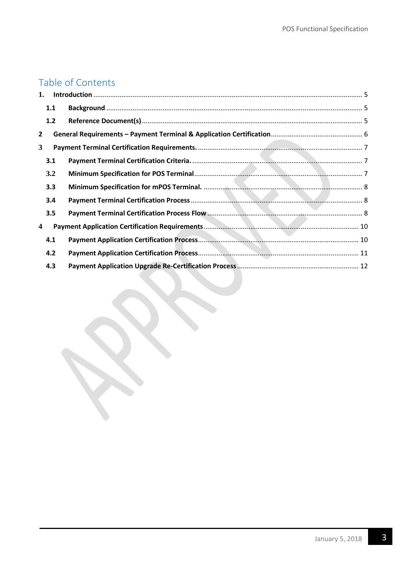# Table of Contents

| 1.           |     |  |
|--------------|-----|--|
|              | 1.1 |  |
|              | 1.2 |  |
| $\mathbf{2}$ |     |  |
| $\mathbf{3}$ |     |  |
|              | 3.1 |  |
|              | 3.2 |  |
|              | 3.3 |  |
|              | 3.4 |  |
|              | 3.5 |  |
| 4            |     |  |
|              | 4.1 |  |
|              | 4.2 |  |
|              | 4.3 |  |
|              |     |  |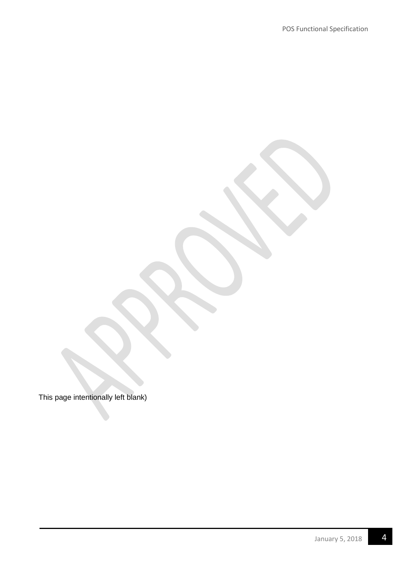This page intentionally left blank)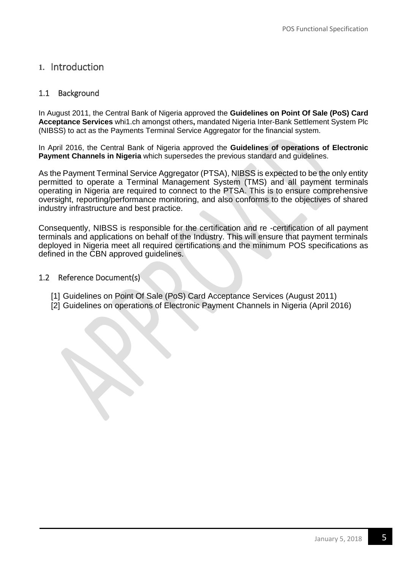## <span id="page-4-0"></span>**1.** Introduction

#### <span id="page-4-1"></span>1.1 Background

In August 2011, the Central Bank of Nigeria approved the **Guidelines on Point Of Sale (PoS) Card Acceptance Services** whi1.ch amongst others**,** mandated Nigeria Inter-Bank Settlement System Plc (NIBSS) to act as the Payments Terminal Service Aggregator for the financial system.

In April 2016, the Central Bank of Nigeria approved the **Guidelines of operations of Electronic Payment Channels in Nigeria** which supersedes the previous standard and guidelines.

As the Payment Terminal Service Aggregator (PTSA), NIBSS is expected to be the only entity permitted to operate a Terminal Management System (TMS) and all payment terminals operating in Nigeria are required to connect to the PTSA. This is to ensure comprehensive oversight, reporting/performance monitoring, and also conforms to the objectives of shared industry infrastructure and best practice.

Consequently, NIBSS is responsible for the certification and re -certification of all payment terminals and applications on behalf of the Industry. This will ensure that payment terminals deployed in Nigeria meet all required certifications and the minimum POS specifications as defined in the CBN approved guidelines.

#### <span id="page-4-2"></span>1.2 Reference Document(s)

- [1] Guidelines on Point Of Sale (PoS) Card Acceptance Services (August 2011)
- [2] Guidelines on operations of Electronic Payment Channels in Nigeria (April 2016)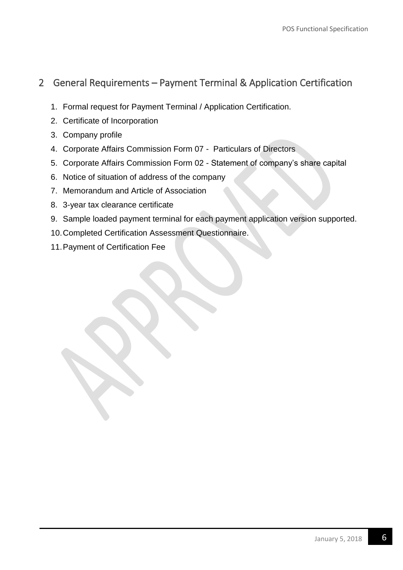## <span id="page-5-0"></span>2 General Requirements – Payment Terminal & Application Certification

- 1. Formal request for Payment Terminal / Application Certification.
- 2. Certificate of Incorporation
- 3. Company profile
- 4. Corporate Affairs Commission Form 07 Particulars of Directors
- 5. Corporate Affairs Commission Form 02 Statement of company's share capital
- 6. Notice of situation of address of the company
- 7. Memorandum and Article of Association
- 8. 3-year tax clearance certificate
- 9. Sample loaded payment terminal for each payment application version supported.
- 10.Completed Certification Assessment Questionnaire.
- 11.Payment of Certification Fee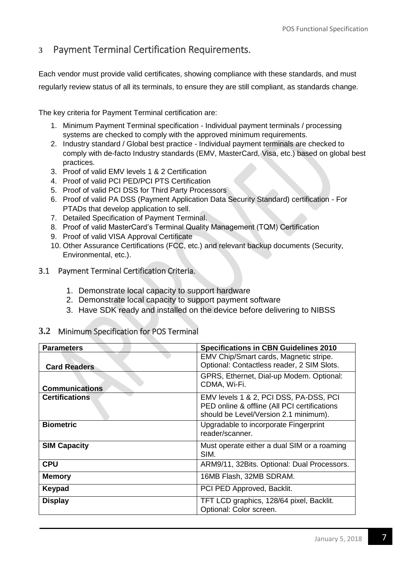## <span id="page-6-0"></span>**3** Payment Terminal Certification Requirements.

Each vendor must provide valid certificates, showing compliance with these standards, and must regularly review status of all its terminals, to ensure they are still compliant, as standards change.

The key criteria for Payment Terminal certification are:

- 1. Minimum Payment Terminal specification Individual payment terminals / processing systems are checked to comply with the approved minimum requirements.
- 2. Industry standard / Global best practice Individual payment terminals are checked to comply with de-facto Industry standards (EMV, MasterCard, Visa, etc.) based on global best practices.
- 3. Proof of valid EMV levels 1 & 2 Certification
- 4. Proof of valid PCI PED/PCI PTS Certification
- 5. Proof of valid PCI DSS for Third Party Processors
- 6. Proof of valid PA DSS (Payment Application Data Security Standard) certification For PTADs that develop application to sell.
- 7. Detailed Specification of Payment Terminal.
- 8. Proof of valid MasterCard's Terminal Quality Management (TQM) Certification
- 9. Proof of valid VISA Approval Certificate
- 10. Other Assurance Certifications (FCC, etc.) and relevant backup documents (Security, Environmental, etc.).

#### <span id="page-6-1"></span>3.1 Payment Terminal Certification Criteria.

- 1. Demonstrate local capacity to support hardware
- 2. Demonstrate local capacity to support payment software
- 3. Have SDK ready and installed on the device before delivering to NIBSS

#### <span id="page-6-2"></span>**3.2** Minimum Specification for POS Terminal

| <b>Parameters</b>     | <b>Specifications in CBN Guidelines 2010</b>                                                                                    |
|-----------------------|---------------------------------------------------------------------------------------------------------------------------------|
| <b>Card Readers</b>   | EMV Chip/Smart cards, Magnetic stripe.<br>Optional: Contactless reader, 2 SIM Slots.                                            |
| <b>Communications</b> | GPRS, Ethernet, Dial-up Modem. Optional:<br>CDMA, Wi-Fi.                                                                        |
| <b>Certifications</b> | EMV levels 1 & 2, PCI DSS, PA-DSS, PCI<br>PED online & offline (All PCI certifications<br>should be Level/Version 2.1 minimum). |
| <b>Biometric</b>      | Upgradable to incorporate Fingerprint<br>reader/scanner.                                                                        |
| <b>SIM Capacity</b>   | Must operate either a dual SIM or a roaming<br>SIM.                                                                             |
| <b>CPU</b>            | ARM9/11, 32Bits. Optional: Dual Processors.                                                                                     |
| <b>Memory</b>         | 16MB Flash, 32MB SDRAM.                                                                                                         |
| Keypad                | PCI PED Approved, Backlit.                                                                                                      |
| <b>Display</b>        | TFT LCD graphics, 128/64 pixel, Backlit.<br>Optional: Color screen.                                                             |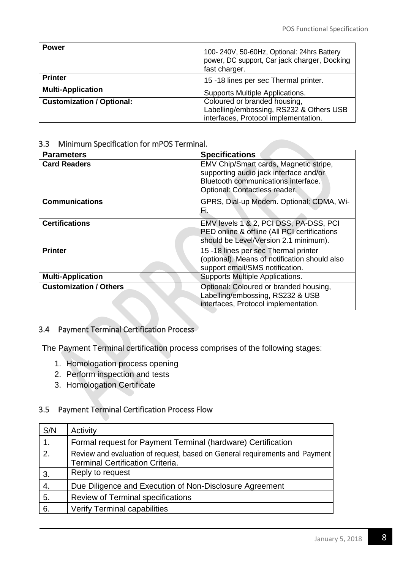| <b>Power</b>                                                                                                                                        | 100-240V, 50-60Hz, Optional: 24hrs Battery<br>power, DC support, Car jack charger, Docking<br>fast charger. |
|-----------------------------------------------------------------------------------------------------------------------------------------------------|-------------------------------------------------------------------------------------------------------------|
| <b>Printer</b>                                                                                                                                      | 15 -18 lines per sec Thermal printer.                                                                       |
| <b>Multi-Application</b>                                                                                                                            | Supports Multiple Applications.                                                                             |
| Coloured or branded housing,<br><b>Customization / Optional:</b><br>Labelling/embossing, RS232 & Others USB<br>interfaces, Protocol implementation. |                                                                                                             |

#### <span id="page-7-0"></span>3.3 Minimum Specification for mPOS Terminal.

| <b>Parameters</b>             | <b>Specifications</b>                                                                                                                                    |
|-------------------------------|----------------------------------------------------------------------------------------------------------------------------------------------------------|
| <b>Card Readers</b>           | EMV Chip/Smart cards, Magnetic stripe,<br>supporting audio jack interface and/or<br>Bluetooth communications interface.<br>Optional: Contactless reader. |
| <b>Communications</b>         | GPRS, Dial-up Modem. Optional: CDMA, Wi-<br>Fi.                                                                                                          |
| <b>Certifications</b>         | EMV levels 1 & 2, PCI DSS, PA-DSS, PCI<br>PED online & offline (All PCI certifications<br>should be Level/Version 2.1 minimum).                          |
| <b>Printer</b>                | 15 -18 lines per sec Thermal printer<br>(optional). Means of notification should also<br>support email/SMS notification.                                 |
| <b>Multi-Application</b>      | Supports Multiple Applications.                                                                                                                          |
| <b>Customization / Others</b> | Optional: Coloured or branded housing,<br>Labelling/embossing, RS232 & USB<br>interfaces, Protocol implementation.                                       |

## <span id="page-7-1"></span>3.4 Payment Terminal Certification Process

The Payment Terminal certification process comprises of the following stages:

- 1. Homologation process opening
- 2. Perform inspection and tests
- 3. Homologation Certificate

## <span id="page-7-2"></span>3.5 Payment Terminal Certification Process Flow

| S/N | Activity                                                                                                               |
|-----|------------------------------------------------------------------------------------------------------------------------|
| 1.  | Formal request for Payment Terminal (hardware) Certification                                                           |
| 2.  | Review and evaluation of request, based on General requirements and Payment<br><b>Terminal Certification Criteria.</b> |
| 3.  | Reply to request                                                                                                       |
| 4.  | Due Diligence and Execution of Non-Disclosure Agreement                                                                |
| 5.  | <b>Review of Terminal specifications</b>                                                                               |
| 6.  | <b>Verify Terminal capabilities</b>                                                                                    |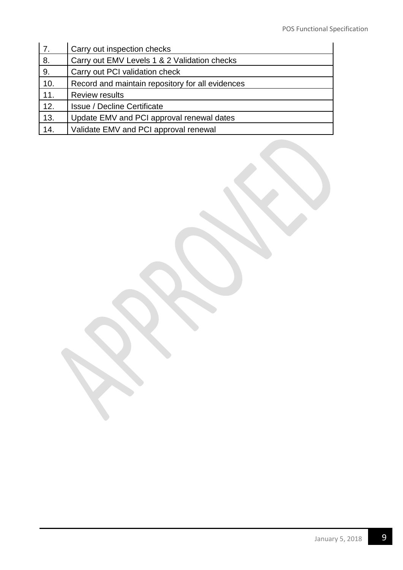| 7.  | Carry out inspection checks                      |
|-----|--------------------------------------------------|
| 8.  | Carry out EMV Levels 1 & 2 Validation checks     |
| 9.  | Carry out PCI validation check                   |
| 10. | Record and maintain repository for all evidences |
| 11. | <b>Review results</b>                            |
| 12. | <b>Issue / Decline Certificate</b>               |
| 13. | Update EMV and PCI approval renewal dates        |
| 14. | Validate EMV and PCI approval renewal            |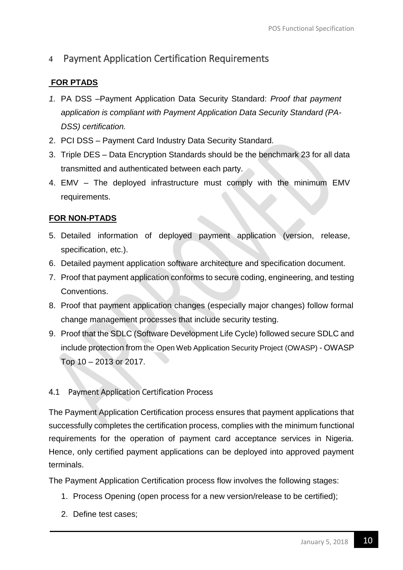## <span id="page-9-0"></span>**4** Payment Application Certification Requirements

### **FOR PTADS**

- *1.* PA DSS –Payment Application Data Security Standard: *Proof that payment application is compliant with Payment Application Data Security Standard (PA-DSS) certification.*
- 2. PCI DSS Payment Card Industry Data Security Standard.
- 3. Triple DES Data Encryption Standards should be the benchmark 23 for all data transmitted and authenticated between each party.
- 4. EMV The deployed infrastructure must comply with the minimum EMV requirements.

#### **FOR NON-PTADS**

- 5. Detailed information of deployed payment application (version, release, specification, etc.).
- 6. Detailed payment application software architecture and specification document.
- 7. Proof that payment application conforms to secure coding, engineering, and testing Conventions.
- 8. Proof that payment application changes (especially major changes) follow formal change management processes that include security testing.
- 9. Proof that the SDLC (Software Development Life Cycle) followed secure SDLC and include protection from the Open Web Application Security Project (OWASP) - OWASP Top 10 – 2013 or 2017.

#### <span id="page-9-1"></span>4.1 Payment Application Certification Process

The Payment Application Certification process ensures that payment applications that successfully completes the certification process, complies with the minimum functional requirements for the operation of payment card acceptance services in Nigeria. Hence, only certified payment applications can be deployed into approved payment terminals.

The Payment Application Certification process flow involves the following stages:

- 1. Process Opening (open process for a new version/release to be certified);
- 2. Define test cases;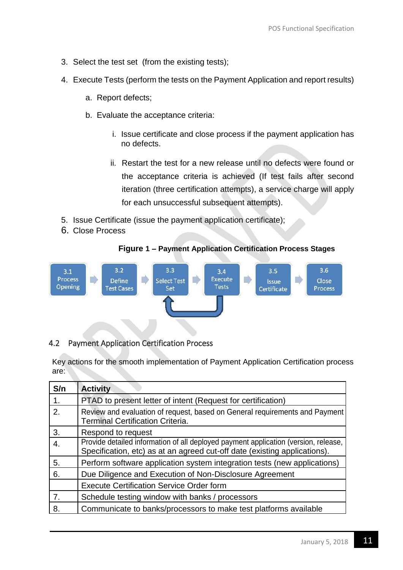- 3. Select the test set (from the existing tests);
- 4. Execute Tests (perform the tests on the Payment Application and report results)
	- a. Report defects;
	- b. Evaluate the acceptance criteria:
		- i. Issue certificate and close process if the payment application has no defects.
		- ii. Restart the test for a new release until no defects were found or the acceptance criteria is achieved (If test fails after second iteration (three certification attempts), a service charge will apply for each unsuccessful subsequent attempts).
- 5. Issue Certificate (issue the payment application certificate);
- 6. Close Process

**Figure 1 – Payment Application Certification Process Stages**



#### <span id="page-10-0"></span>4.2 Payment Application Certification Process

Key actions for the smooth implementation of Payment Application Certification process are:

| S/n | <b>Activity</b>                                                                                                                                                  |
|-----|------------------------------------------------------------------------------------------------------------------------------------------------------------------|
| 1.  | PTAD to present letter of intent (Request for certification)                                                                                                     |
| 2.  | Review and evaluation of request, based on General requirements and Payment<br><b>Terminal Certification Criteria.</b>                                           |
| 3.  | Respond to request                                                                                                                                               |
| 4.  | Provide detailed information of all deployed payment application (version, release,<br>Specification, etc) as at an agreed cut-off date (existing applications). |
| 5.  | Perform software application system integration tests (new applications)                                                                                         |
| 6.  | Due Diligence and Execution of Non-Disclosure Agreement                                                                                                          |
|     | <b>Execute Certification Service Order form</b>                                                                                                                  |
| 7.  | Schedule testing window with banks / processors                                                                                                                  |
| 8.  | Communicate to banks/processors to make test platforms available                                                                                                 |